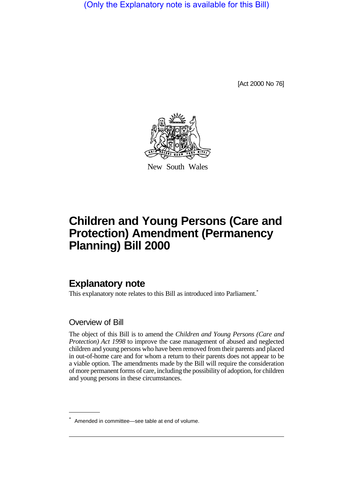(Only the Explanatory note is available for this Bill)

[Act 2000 No 76]



New South Wales

# **Children and Young Persons (Care and Protection) Amendment (Permanency Planning) Bill 2000**

# **Explanatory note**

This explanatory note relates to this Bill as introduced into Parliament.<sup>\*</sup>

### Overview of Bill

The object of this Bill is to amend the *Children and Young Persons (Care and Protection) Act 1998* to improve the case management of abused and neglected children and young persons who have been removed from their parents and placed in out-of-home care and for whom a return to their parents does not appear to be a viable option. The amendments made by the Bill will require the consideration of more permanent forms of care, including the possibility of adoption, for children and young persons in these circumstances.

<sup>\*</sup> Amended in committee—see table at end of volume.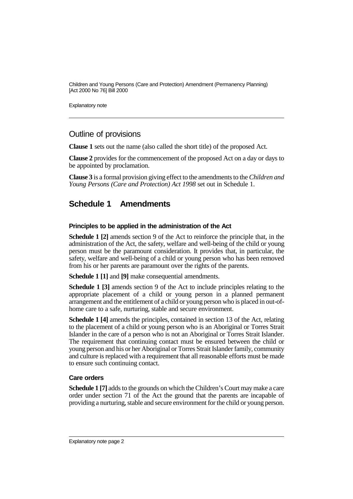Explanatory note

## Outline of provisions

**Clause 1** sets out the name (also called the short title) of the proposed Act.

**Clause 2** provides for the commencement of the proposed Act on a day or days to be appointed by proclamation.

**Clause 3** is a formal provision giving effect to the amendments to the *Children and Young Persons (Care and Protection) Act 1998* set out in Schedule 1.

# **Schedule 1 Amendments**

#### **Principles to be applied in the administration of the Act**

**Schedule 1 [2]** amends section 9 of the Act to reinforce the principle that, in the administration of the Act, the safety, welfare and well-being of the child or young person must be the paramount consideration. It provides that, in particular, the safety, welfare and well-being of a child or young person who has been removed from his or her parents are paramount over the rights of the parents.

**Schedule 1 [1]** and **[9]** make consequential amendments.

**Schedule 1 [3]** amends section 9 of the Act to include principles relating to the appropriate placement of a child or young person in a planned permanent arrangement and the entitlement of a child or young person who is placed in out-ofhome care to a safe, nurturing, stable and secure environment.

**Schedule 1 [4]** amends the principles, contained in section 13 of the Act, relating to the placement of a child or young person who is an Aboriginal or Torres Strait Islander in the care of a person who is not an Aboriginal or Torres Strait Islander. The requirement that continuing contact must be ensured between the child or young person and his or her Aboriginal or Torres Strait Islander family, community and culture is replaced with a requirement that all reasonable efforts must be made to ensure such continuing contact.

### **Care orders**

**Schedule 1 [7]** adds to the grounds on which the Children's Court may make a care order under section 71 of the Act the ground that the parents are incapable of providing a nurturing, stable and secure environment for the child or young person.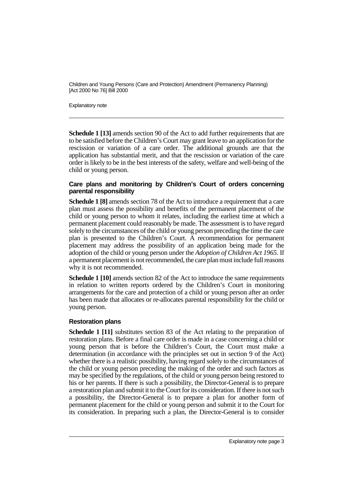Explanatory note

**Schedule 1 [13]** amends section 90 of the Act to add further requirements that are to be satisfied before the Children's Court may grant leave to an application for the rescission or variation of a care order. The additional grounds are that the application has substantial merit, and that the rescission or variation of the care order is likely to be in the best interests of the safety, welfare and well-being of the child or young person.

#### **Care plans and monitoring by Children's Court of orders concerning parental responsibility**

**Schedule 1 [8]** amends section 78 of the Act to introduce a requirement that a care plan must assess the possibility and benefits of the permanent placement of the child or young person to whom it relates, including the earliest time at which a permanent placement could reasonably be made. The assessment is to have regard solely to the circumstances of the child or young person preceding the time the care plan is presented to the Children's Court. A recommendation for permanent placement may address the possibility of an application being made for the adoption of the child or young person under the *Adoption of Children Act 1965*. If a permanent placement is not recommended, the care plan must include full reasons why it is not recommended.

**Schedule 1 [10]** amends section 82 of the Act to introduce the same requirements in relation to written reports ordered by the Children's Court in monitoring arrangements for the care and protection of a child or young person after an order has been made that allocates or re-allocates parental responsibility for the child or young person.

#### **Restoration plans**

**Schedule 1 [11]** substitutes section 83 of the Act relating to the preparation of restoration plans. Before a final care order is made in a case concerning a child or young person that is before the Children's Court, the Court must make a determination (in accordance with the principles set out in section 9 of the Act) whether there is a realistic possibility, having regard solely to the circumstances of the child or young person preceding the making of the order and such factors as may be specified by the regulations, of the child or young person being restored to his or her parents. If there is such a possibility, the Director-General is to prepare a restoration plan and submit it to the Court for its consideration. If there is not such a possibility, the Director-General is to prepare a plan for another form of permanent placement for the child or young person and submit it to the Court for its consideration. In preparing such a plan, the Director-General is to consider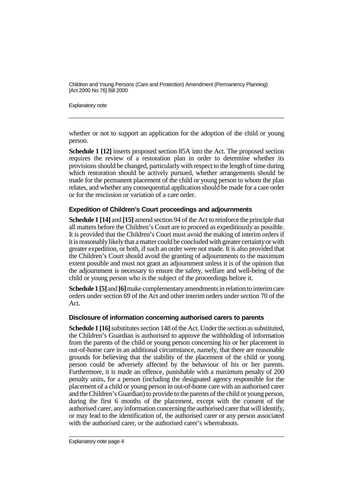Explanatory note

whether or not to support an application for the adoption of the child or young person.

**Schedule 1 [12]** inserts proposed section 85A into the Act. The proposed section requires the review of a restoration plan in order to determine whether its provisions should be changed, particularly with respect to the length of time during which restoration should be actively pursued, whether arrangements should be made for the permanent placement of the child or young person to whom the plan relates, and whether any consequential application should be made for a care order or for the rescission or variation of a care order.

#### **Expedition of Children's Court proceedings and adjournments**

**Schedule 1 [14]** and **[15]** amend section 94 of the Act to reinforce the principle that all matters before the Children's Court are to proceed as expeditiously as possible. It is provided that the Children's Court must avoid the making of interim orders if it is reasonably likely that a matter could be concluded with greater certainty or with greater expedition, or both, if such an order were not made. It is also provided that the Children's Court should avoid the granting of adjournments to the maximum extent possible and must not grant an adjournment unless it is of the opinion that the adjournment is necessary to ensure the safety, welfare and well-being of the child or young person who is the subject of the proceedings before it.

**Schedule 1 [5]** and **[6]** make complementary amendments in relation to interim care orders under section 69 of the Act and other interim orders under section 70 of the Act.

#### **Disclosure of information concerning authorised carers to parents**

**Schedule 1 [16]** substitutes section 148 of the Act. Under the section as substituted, the Children's Guardian is authorised to approve the withholding of information from the parents of the child or young person concerning his or her placement in out-of-home care in an additional circumstance, namely, that there are reasonable grounds for believing that the stability of the placement of the child or young person could be adversely affected by the behaviour of his or her parents. Furthermore, it is made an offence, punishable with a maximum penalty of 200 penalty units, for a person (including the designated agency responsible for the placement of a child or young person in out-of-home care with an authorised carer and the Children's Guardian) to provide to the parents of the child or young person, during the first 6 months of the placement, except with the consent of the authorised carer, any information concerning the authorised carer that will identify, or may lead to the identification of, the authorised carer or any person associated with the authorised carer, or the authorised carer's whereabouts.